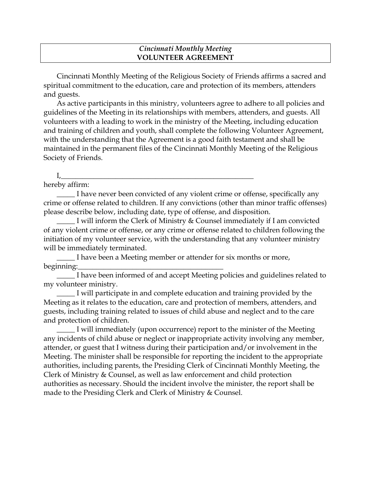## *Cincinnati Monthly Meeting*  **VOLUNTEER AGREEMENT**

Cincinnati Monthly Meeting of the Religious Society of Friends affirms a sacred and spiritual commitment to the education, care and protection of its members, attenders and guests.

As active participants in this ministry, volunteers agree to adhere to all policies and guidelines of the Meeting in its relationships with members, attenders, and guests. All volunteers with a leading to work in the ministry of the Meeting, including education and training of children and youth, shall complete the following Volunteer Agreement, with the understanding that the Agreement is a good faith testament and shall be maintained in the permanent files of the Cincinnati Monthly Meeting of the Religious Society of Friends.

## $I_{\prime}$  , and the set of the set of the set of the set of the set of the set of the set of the set of the set of the set of the set of the set of the set of the set of the set of the set of the set of the set of the set o

hereby affirm:

I have never been convicted of any violent crime or offense, specifically any crime or offense related to children. If any convictions (other than minor traffic offenses) please describe below, including date, type of offense, and disposition.

I will inform the Clerk of Ministry & Counsel immediately if I am convicted of any violent crime or offense, or any crime or offense related to children following the initiation of my volunteer service, with the understanding that any volunteer ministry will be immediately terminated.

I have been a Meeting member or attender for six months or more, beginning:

\_\_\_\_\_ I have been informed of and accept Meeting policies and guidelines related to my volunteer ministry.

I will participate in and complete education and training provided by the Meeting as it relates to the education, care and protection of members, attenders, and guests, including training related to issues of child abuse and neglect and to the care and protection of children.

\_\_\_\_\_ I will immediately (upon occurrence) report to the minister of the Meeting any incidents of child abuse or neglect or inappropriate activity involving any member, attender, or guest that I witness during their participation and/or involvement in the Meeting. The minister shall be responsible for reporting the incident to the appropriate authorities, including parents, the Presiding Clerk of Cincinnati Monthly Meeting, the Clerk of Ministry & Counsel, as well as law enforcement and child protection authorities as necessary. Should the incident involve the minister, the report shall be made to the Presiding Clerk and Clerk of Ministry & Counsel.